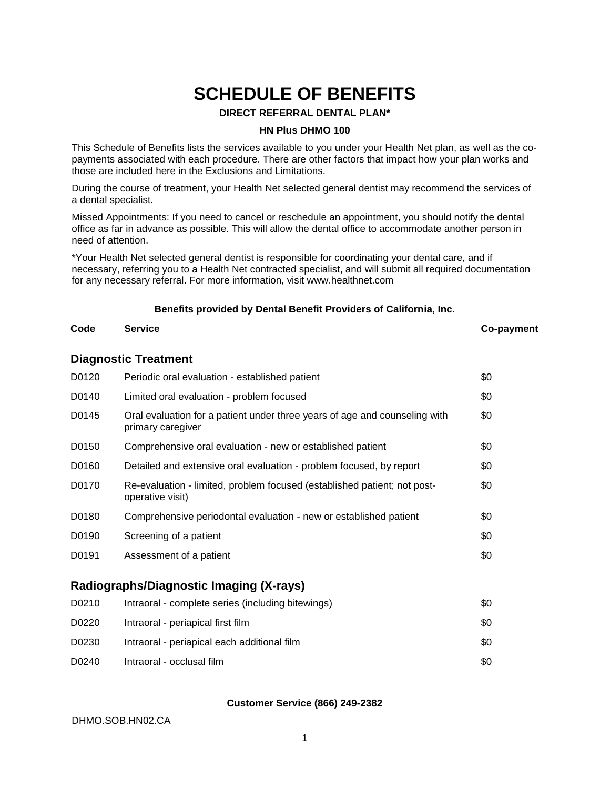# **SCHEDULE OF BENEFITS**

#### **DIRECT REFERRAL DENTAL PLAN\***

#### **HN Plus DHMO 100**

This Schedule of Benefits lists the services available to you under your Health Net plan, as well as the copayments associated with each procedure. There are other factors that impact how your plan works and those are included here in the Exclusions and Limitations.

During the course of treatment, your Health Net selected general dentist may recommend the services of a dental specialist.

Missed Appointments: If you need to cancel or reschedule an appointment, you should notify the dental office as far in advance as possible. This will allow the dental office to accommodate another person in need of attention.

\*Your Health Net selected general dentist is responsible for coordinating your dental care, and if necessary, referring you to a Health Net contracted specialist, and will submit all required documentation for any necessary referral. For more information, visit www.healthnet.com

#### **Benefits provided by Dental Benefit Providers of California, Inc.**

# **Diagnostic Treatment**

## **Code Service Co-payment**

| D0120 | Periodic oral evaluation - established patient                                                  | \$0 |
|-------|-------------------------------------------------------------------------------------------------|-----|
| D0140 | Limited oral evaluation - problem focused                                                       | \$0 |
| D0145 | Oral evaluation for a patient under three years of age and counseling with<br>primary caregiver | \$0 |
| D0150 | Comprehensive oral evaluation - new or established patient                                      | \$0 |
| D0160 | Detailed and extensive oral evaluation - problem focused, by report                             | \$0 |
| D0170 | Re-evaluation - limited, problem focused (established patient; not post-<br>operative visit)    | \$0 |
| D0180 | Comprehensive periodontal evaluation - new or established patient                               | \$0 |
| D0190 | Screening of a patient                                                                          | \$0 |
| D0191 | Assessment of a patient                                                                         | \$0 |
|       |                                                                                                 |     |

#### **Radiographs/Diagnostic Imaging (X-rays)**

| D0210 | Intraoral - complete series (including bitewings) | \$0 |
|-------|---------------------------------------------------|-----|
| D0220 | Intraoral - periapical first film                 | \$0 |
| D0230 | Intraoral - periapical each additional film       | \$0 |
| D0240 | Intraoral - occlusal film                         | \$0 |

#### **Customer Service (866) 249-2382**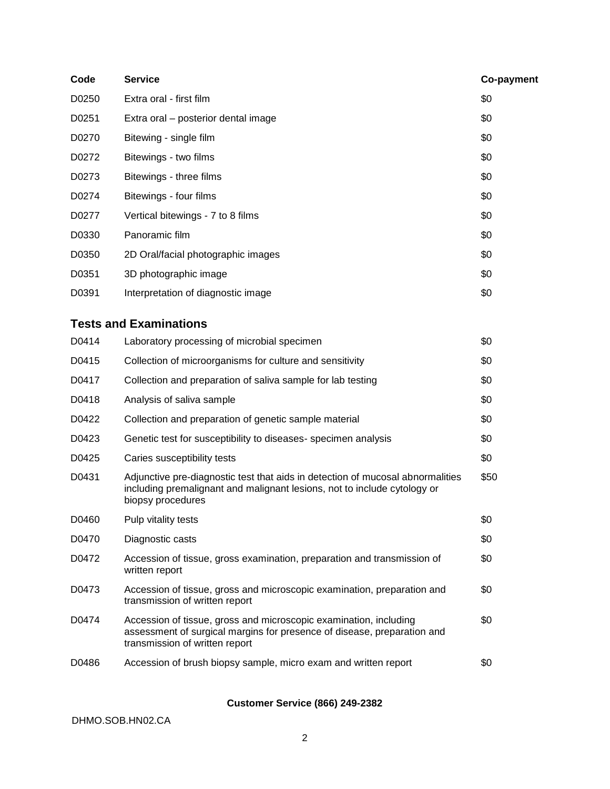| Code  | <b>Service</b>                                                                                                                                                                  | Co-payment |
|-------|---------------------------------------------------------------------------------------------------------------------------------------------------------------------------------|------------|
| D0250 | Extra oral - first film                                                                                                                                                         | \$0        |
| D0251 | Extra oral - posterior dental image                                                                                                                                             | \$0        |
| D0270 | Bitewing - single film                                                                                                                                                          | \$0        |
| D0272 | Bitewings - two films                                                                                                                                                           | \$0        |
| D0273 | Bitewings - three films                                                                                                                                                         | \$0        |
| D0274 | Bitewings - four films                                                                                                                                                          | \$0        |
| D0277 | Vertical bitewings - 7 to 8 films                                                                                                                                               | \$0        |
| D0330 | Panoramic film                                                                                                                                                                  | \$0        |
| D0350 | 2D Oral/facial photographic images                                                                                                                                              | \$0        |
| D0351 | 3D photographic image                                                                                                                                                           | \$0        |
| D0391 | Interpretation of diagnostic image                                                                                                                                              | \$0        |
|       | <b>Tests and Examinations</b>                                                                                                                                                   |            |
| D0414 | Laboratory processing of microbial specimen                                                                                                                                     | \$0        |
| D0415 | Collection of microorganisms for culture and sensitivity                                                                                                                        | \$0        |
| D0417 | Collection and preparation of saliva sample for lab testing                                                                                                                     | \$0        |
| D0418 | Analysis of saliva sample                                                                                                                                                       | \$0        |
| D0422 | Collection and preparation of genetic sample material                                                                                                                           | \$0        |
| D0423 | Genetic test for susceptibility to diseases-specimen analysis                                                                                                                   | \$0        |
| D0425 | Caries susceptibility tests                                                                                                                                                     | \$0        |
| D0431 | Adjunctive pre-diagnostic test that aids in detection of mucosal abnormalities<br>including premalignant and malignant lesions, not to include cytology or<br>biopsy procedures | \$50       |
| D0460 | Pulp vitality tests                                                                                                                                                             | \$0        |
| D0470 | Diagnostic casts                                                                                                                                                                | \$0        |
| D0472 | Accession of tissue, gross examination, preparation and transmission of<br>written report                                                                                       | \$0        |
| D0473 | Accession of tissue, gross and microscopic examination, preparation and<br>transmission of written report                                                                       | \$0        |
| D0474 | Accession of tissue, gross and microscopic examination, including<br>assessment of surgical margins for presence of disease, preparation and<br>transmission of written report  | \$0        |
| D0486 | Accession of brush biopsy sample, micro exam and written report                                                                                                                 | \$0        |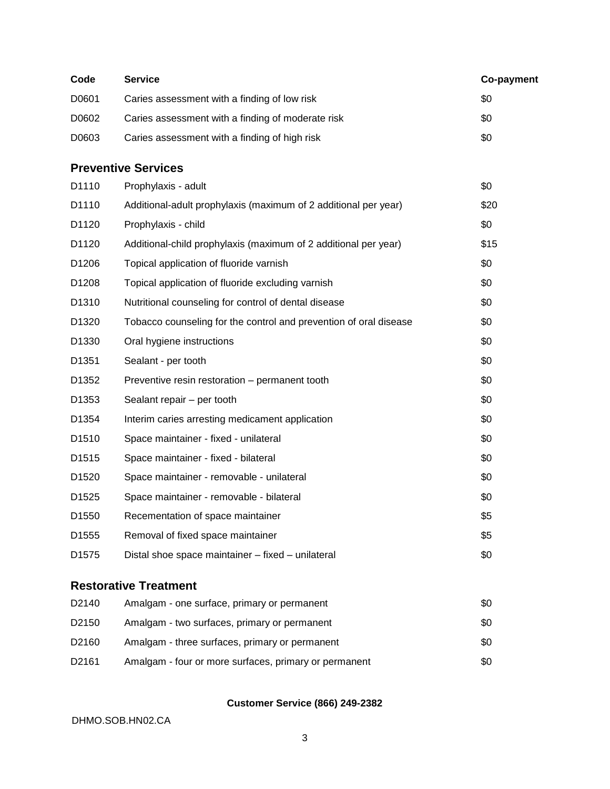| Code  | <b>Service</b>                                                    | Co-payment |
|-------|-------------------------------------------------------------------|------------|
| D0601 | Caries assessment with a finding of low risk                      | \$0        |
| D0602 | Caries assessment with a finding of moderate risk                 | \$0        |
| D0603 | Caries assessment with a finding of high risk                     | \$0        |
|       | <b>Preventive Services</b>                                        |            |
| D1110 | Prophylaxis - adult                                               | \$0        |
| D1110 | Additional-adult prophylaxis (maximum of 2 additional per year)   | \$20       |
| D1120 | Prophylaxis - child                                               | \$0        |
| D1120 | Additional-child prophylaxis (maximum of 2 additional per year)   | \$15       |
| D1206 | Topical application of fluoride varnish                           | \$0        |
| D1208 | Topical application of fluoride excluding varnish                 | \$0        |
| D1310 | Nutritional counseling for control of dental disease              | \$0        |
| D1320 | Tobacco counseling for the control and prevention of oral disease | \$0        |
| D1330 | Oral hygiene instructions                                         | \$0        |
| D1351 | Sealant - per tooth                                               | \$0        |
| D1352 | Preventive resin restoration - permanent tooth                    | \$0        |
| D1353 | Sealant repair - per tooth                                        | \$0        |
| D1354 | Interim caries arresting medicament application                   | \$0        |
| D1510 | Space maintainer - fixed - unilateral                             | \$0        |
| D1515 | Space maintainer - fixed - bilateral                              | \$0        |
| D1520 | Space maintainer - removable - unilateral                         | \$0        |
| D1525 | Space maintainer - removable - bilateral                          | \$0        |
| D1550 | Recementation of space maintainer                                 | \$5        |
| D1555 | Removal of fixed space maintainer                                 | \$5        |
| D1575 | Distal shoe space maintainer - fixed - unilateral                 | \$0        |
|       | <b>Restorative Treatment</b>                                      |            |
| D2140 | Amalgam - one surface, primary or permanent                       | \$0        |
| D2150 | Amalgam - two surfaces, primary or permanent                      | \$0        |
| D2160 | Amalgam - three surfaces, primary or permanent                    | \$0        |

D2161 Amalgam - four or more surfaces, primary or permanent \$0

#### **Customer Service (866) 249-2382**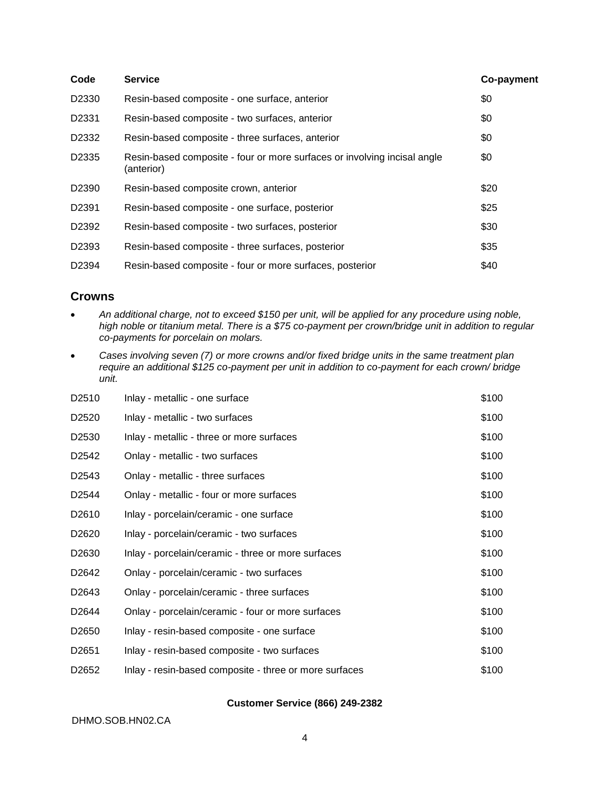| Code              | <b>Service</b>                                                                         | Co-payment |
|-------------------|----------------------------------------------------------------------------------------|------------|
| D2330             | Resin-based composite - one surface, anterior                                          | \$0        |
| D <sub>2331</sub> | Resin-based composite - two surfaces, anterior                                         | \$0        |
| D <sub>2332</sub> | Resin-based composite - three surfaces, anterior                                       | \$0        |
| D2335             | Resin-based composite - four or more surfaces or involving incisal angle<br>(anterior) | \$0        |
| D <sub>2390</sub> | Resin-based composite crown, anterior                                                  | \$20       |
| D <sub>2391</sub> | Resin-based composite - one surface, posterior                                         | \$25       |
| D2392             | Resin-based composite - two surfaces, posterior                                        | \$30       |
| D2393             | Resin-based composite - three surfaces, posterior                                      | \$35       |
| D <sub>2394</sub> | Resin-based composite - four or more surfaces, posterior                               | \$40       |

#### **Crowns**

- *An additional charge, not to exceed \$150 per unit, will be applied for any procedure using noble, high noble or titanium metal. There is a \$75 co-payment per crown/bridge unit in addition to regular co-payments for porcelain on molars.*
- *Cases involving seven (7) or more crowns and/or fixed bridge units in the same treatment plan require an additional \$125 co-payment per unit in addition to co-payment for each crown/ bridge unit.*

| D <sub>2510</sub> | Inlay - metallic - one surface                         | \$100 |
|-------------------|--------------------------------------------------------|-------|
| D <sub>2520</sub> | Inlay - metallic - two surfaces                        | \$100 |
| D <sub>2530</sub> | Inlay - metallic - three or more surfaces              | \$100 |
| D <sub>2542</sub> | Onlay - metallic - two surfaces                        | \$100 |
| D <sub>2543</sub> | Onlay - metallic - three surfaces                      | \$100 |
| D <sub>2544</sub> | Onlay - metallic - four or more surfaces               | \$100 |
| D <sub>2610</sub> | Inlay - porcelain/ceramic - one surface                | \$100 |
| D <sub>2620</sub> | Inlay - porcelain/ceramic - two surfaces               | \$100 |
| D <sub>2630</sub> | Inlay - porcelain/ceramic - three or more surfaces     | \$100 |
| D <sub>2642</sub> | Onlay - porcelain/ceramic - two surfaces               | \$100 |
| D <sub>2643</sub> | Onlay - porcelain/ceramic - three surfaces             | \$100 |
| D <sub>2644</sub> | Onlay - porcelain/ceramic - four or more surfaces      | \$100 |
| D <sub>2650</sub> | Inlay - resin-based composite - one surface            | \$100 |
| D <sub>2651</sub> | Inlay - resin-based composite - two surfaces           | \$100 |
| D <sub>2652</sub> | Inlay - resin-based composite - three or more surfaces | \$100 |

#### **Customer Service (866) 249-2382**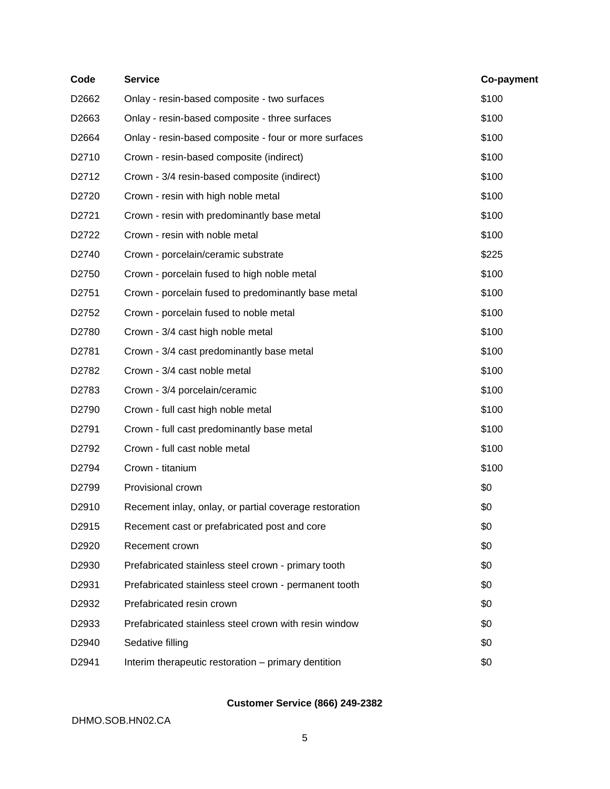| Code              | <b>Service</b>                                         | Co-payment |
|-------------------|--------------------------------------------------------|------------|
| D2662             | Onlay - resin-based composite - two surfaces           | \$100      |
| D2663             | Onlay - resin-based composite - three surfaces         | \$100      |
| D2664             | Onlay - resin-based composite - four or more surfaces  | \$100      |
| D2710             | Crown - resin-based composite (indirect)               | \$100      |
| D2712             | Crown - 3/4 resin-based composite (indirect)           | \$100      |
| D2720             | Crown - resin with high noble metal                    | \$100      |
| D2721             | Crown - resin with predominantly base metal            | \$100      |
| D2722             | Crown - resin with noble metal                         | \$100      |
| D2740             | Crown - porcelain/ceramic substrate                    | \$225      |
| D2750             | Crown - porcelain fused to high noble metal            | \$100      |
| D2751             | Crown - porcelain fused to predominantly base metal    | \$100      |
| D2752             | Crown - porcelain fused to noble metal                 | \$100      |
| D2780             | Crown - 3/4 cast high noble metal                      | \$100      |
| D2781             | Crown - 3/4 cast predominantly base metal              | \$100      |
| D2782             | Crown - 3/4 cast noble metal                           | \$100      |
| D2783             | Crown - 3/4 porcelain/ceramic                          | \$100      |
| D2790             | Crown - full cast high noble metal                     | \$100      |
| D2791             | Crown - full cast predominantly base metal             | \$100      |
| D2792             | Crown - full cast noble metal                          | \$100      |
| D2794             | Crown - titanium                                       | \$100      |
| D2799             | Provisional crown                                      | \$0        |
| D2910             | Recement inlay, onlay, or partial coverage restoration | \$0        |
| D2915             | Recement cast or prefabricated post and core           | \$0        |
| D2920             | Recement crown                                         | \$0        |
| D2930             | Prefabricated stainless steel crown - primary tooth    | \$0        |
| D2931             | Prefabricated stainless steel crown - permanent tooth  | \$0        |
| D2932             | Prefabricated resin crown                              | \$0        |
| D2933             | Prefabricated stainless steel crown with resin window  | \$0        |
| D <sub>2940</sub> | Sedative filling                                       | \$0        |
| D2941             | Interim therapeutic restoration - primary dentition    | \$0        |
|                   |                                                        |            |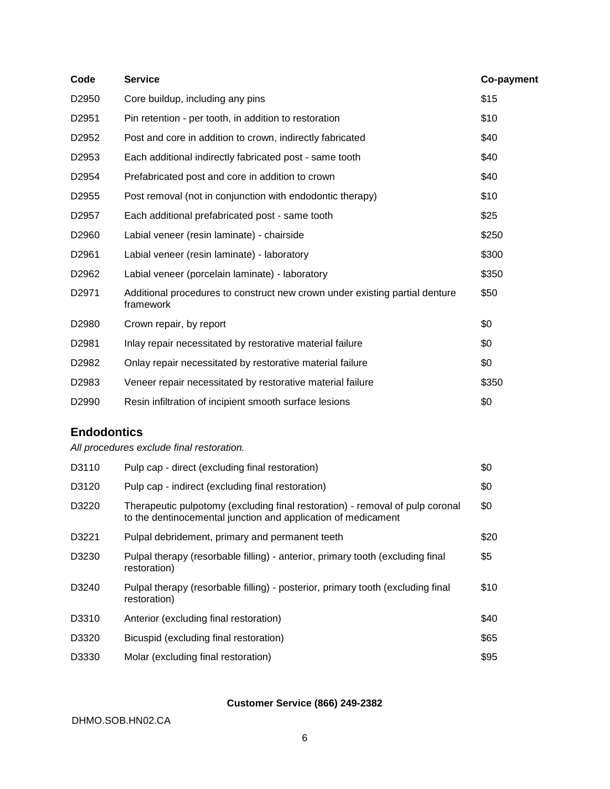| Code              | <b>Service</b>                                                                           | Co-payment |
|-------------------|------------------------------------------------------------------------------------------|------------|
| D2950             | Core buildup, including any pins                                                         | \$15       |
| D2951             | Pin retention - per tooth, in addition to restoration                                    | \$10       |
| D2952             | Post and core in addition to crown, indirectly fabricated                                | \$40       |
| D <sub>2953</sub> | Each additional indirectly fabricated post - same tooth                                  | \$40       |
| D <sub>2954</sub> | Prefabricated post and core in addition to crown                                         | \$40       |
| D2955             | Post removal (not in conjunction with endodontic therapy)                                | \$10       |
| D2957             | Each additional prefabricated post - same tooth                                          | \$25       |
| D2960             | Labial veneer (resin laminate) - chairside                                               | \$250      |
| D2961             | Labial veneer (resin laminate) - laboratory                                              | \$300      |
| D <sub>2962</sub> | Labial veneer (porcelain laminate) - laboratory                                          | \$350      |
| D <sub>2971</sub> | Additional procedures to construct new crown under existing partial denture<br>framework | \$50       |
| D2980             | Crown repair, by report                                                                  | \$0        |
| D <sub>2981</sub> | Inlay repair necessitated by restorative material failure                                | \$0        |
| D <sub>2982</sub> | Onlay repair necessitated by restorative material failure                                | \$0        |
| D2983             | Veneer repair necessitated by restorative material failure                               | \$350      |
| D2990             | Resin infiltration of incipient smooth surface lesions                                   | \$0        |

### **Endodontics**

*All procedures exclude final restoration.*

| D3110 | Pulp cap - direct (excluding final restoration)                                                                                                | \$0  |
|-------|------------------------------------------------------------------------------------------------------------------------------------------------|------|
| D3120 | Pulp cap - indirect (excluding final restoration)                                                                                              | \$0  |
| D3220 | Therapeutic pulpotomy (excluding final restoration) - removal of pulp coronal<br>to the dentinocemental junction and application of medicament | \$0  |
| D3221 | Pulpal debridement, primary and permanent teeth                                                                                                | \$20 |
| D3230 | Pulpal therapy (resorbable filling) - anterior, primary tooth (excluding final<br>restoration)                                                 | \$5  |
| D3240 | Pulpal therapy (resorbable filling) - posterior, primary tooth (excluding final<br>restoration)                                                | \$10 |
| D3310 | Anterior (excluding final restoration)                                                                                                         | \$40 |
| D3320 | Bicuspid (excluding final restoration)                                                                                                         | \$65 |
| D3330 | Molar (excluding final restoration)                                                                                                            | \$95 |

#### **Customer Service (866) 249-2382**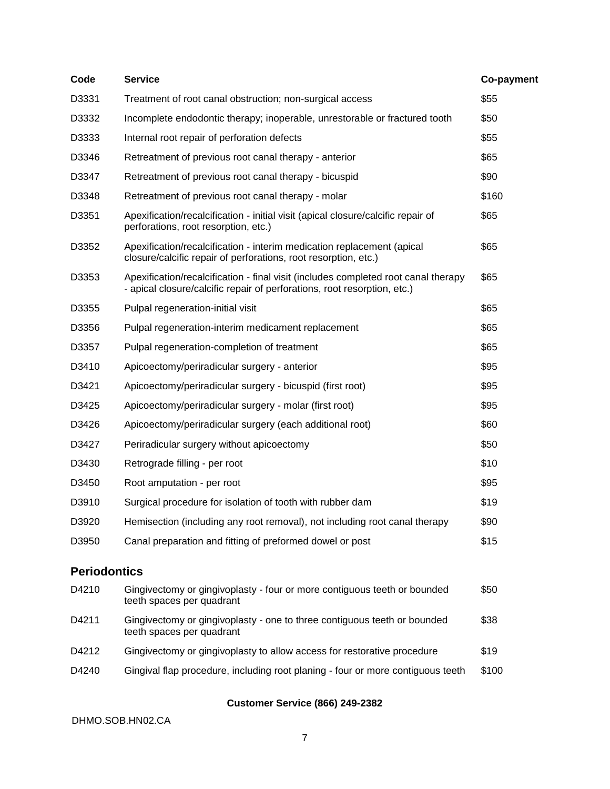| Code                | <b>Service</b>                                                                                                                                                 | Co-payment |
|---------------------|----------------------------------------------------------------------------------------------------------------------------------------------------------------|------------|
| D3331               | Treatment of root canal obstruction; non-surgical access                                                                                                       | \$55       |
| D3332               | Incomplete endodontic therapy; inoperable, unrestorable or fractured tooth                                                                                     | \$50       |
| D3333               | Internal root repair of perforation defects                                                                                                                    | \$55       |
| D3346               | Retreatment of previous root canal therapy - anterior                                                                                                          | \$65       |
| D3347               | Retreatment of previous root canal therapy - bicuspid                                                                                                          | \$90       |
| D3348               | Retreatment of previous root canal therapy - molar                                                                                                             | \$160      |
| D3351               | Apexification/recalcification - initial visit (apical closure/calcific repair of<br>perforations, root resorption, etc.)                                       | \$65       |
| D3352               | Apexification/recalcification - interim medication replacement (apical<br>closure/calcific repair of perforations, root resorption, etc.)                      | \$65       |
| D3353               | Apexification/recalcification - final visit (includes completed root canal therapy<br>- apical closure/calcific repair of perforations, root resorption, etc.) | \$65       |
| D3355               | Pulpal regeneration-initial visit                                                                                                                              | \$65       |
| D3356               | Pulpal regeneration-interim medicament replacement                                                                                                             | \$65       |
| D3357               | Pulpal regeneration-completion of treatment                                                                                                                    | \$65       |
| D3410               | Apicoectomy/periradicular surgery - anterior                                                                                                                   | \$95       |
| D3421               | Apicoectomy/periradicular surgery - bicuspid (first root)                                                                                                      | \$95       |
| D3425               | Apicoectomy/periradicular surgery - molar (first root)                                                                                                         | \$95       |
| D3426               | Apicoectomy/periradicular surgery (each additional root)                                                                                                       | \$60       |
| D3427               | Periradicular surgery without apicoectomy                                                                                                                      | \$50       |
| D3430               | Retrograde filling - per root                                                                                                                                  | \$10       |
| D3450               | Root amputation - per root                                                                                                                                     | \$95       |
| D3910               | Surgical procedure for isolation of tooth with rubber dam                                                                                                      | \$19       |
| D3920               | Hemisection (including any root removal), not including root canal therapy                                                                                     | \$90       |
| D3950               | Canal preparation and fitting of preformed dowel or post                                                                                                       | \$15       |
| <b>Periodontics</b> |                                                                                                                                                                |            |
| D4210               | Gingivectomy or gingivoplasty - four or more contiguous teeth or bounded<br>teeth spaces per quadrant                                                          | \$50       |
| D4211               | Gingivectomy or gingivoplasty - one to three contiguous teeth or bounded<br>teeth spaces per quadrant                                                          | \$38       |
| D4212               | Gingivectomy or gingivoplasty to allow access for restorative procedure                                                                                        | \$19       |

D4240 Gingival flap procedure, including root planing - four or more contiguous teeth \$100

#### **Customer Service (866) 249-2382**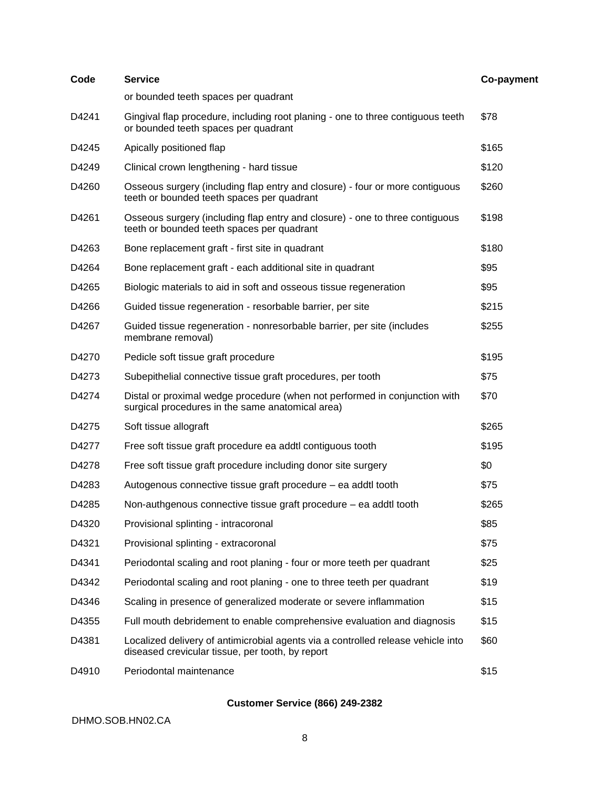| Code  | <b>Service</b>                                                                                                                       | Co-payment |
|-------|--------------------------------------------------------------------------------------------------------------------------------------|------------|
|       | or bounded teeth spaces per quadrant                                                                                                 |            |
| D4241 | Gingival flap procedure, including root planing - one to three contiguous teeth<br>or bounded teeth spaces per quadrant              | \$78       |
| D4245 | Apically positioned flap                                                                                                             | \$165      |
| D4249 | Clinical crown lengthening - hard tissue                                                                                             | \$120      |
| D4260 | Osseous surgery (including flap entry and closure) - four or more contiguous<br>teeth or bounded teeth spaces per quadrant           | \$260      |
| D4261 | Osseous surgery (including flap entry and closure) - one to three contiguous<br>teeth or bounded teeth spaces per quadrant           | \$198      |
| D4263 | Bone replacement graft - first site in quadrant                                                                                      | \$180      |
| D4264 | Bone replacement graft - each additional site in quadrant                                                                            | \$95       |
| D4265 | Biologic materials to aid in soft and osseous tissue regeneration                                                                    | \$95       |
| D4266 | Guided tissue regeneration - resorbable barrier, per site                                                                            | \$215      |
| D4267 | Guided tissue regeneration - nonresorbable barrier, per site (includes<br>membrane removal)                                          | \$255      |
| D4270 | Pedicle soft tissue graft procedure                                                                                                  | \$195      |
| D4273 | Subepithelial connective tissue graft procedures, per tooth                                                                          | \$75       |
| D4274 | Distal or proximal wedge procedure (when not performed in conjunction with<br>surgical procedures in the same anatomical area)       | \$70       |
| D4275 | Soft tissue allograft                                                                                                                | \$265      |
| D4277 | Free soft tissue graft procedure ea addtl contiguous tooth                                                                           | \$195      |
| D4278 | Free soft tissue graft procedure including donor site surgery                                                                        | \$0        |
| D4283 | Autogenous connective tissue graft procedure – ea addtl tooth                                                                        | \$75       |
| D4285 | Non-authgenous connective tissue graft procedure – ea addtl tooth                                                                    | \$265      |
| D4320 | Provisional splinting - intracoronal                                                                                                 | \$85       |
| D4321 | Provisional splinting - extracoronal                                                                                                 | \$75       |
| D4341 | Periodontal scaling and root planing - four or more teeth per quadrant                                                               | \$25       |
| D4342 | Periodontal scaling and root planing - one to three teeth per quadrant                                                               | \$19       |
| D4346 | Scaling in presence of generalized moderate or severe inflammation                                                                   | \$15       |
| D4355 | Full mouth debridement to enable comprehensive evaluation and diagnosis                                                              | \$15       |
| D4381 | Localized delivery of antimicrobial agents via a controlled release vehicle into<br>diseased crevicular tissue, per tooth, by report | \$60       |
| D4910 | Periodontal maintenance                                                                                                              | \$15       |
|       |                                                                                                                                      |            |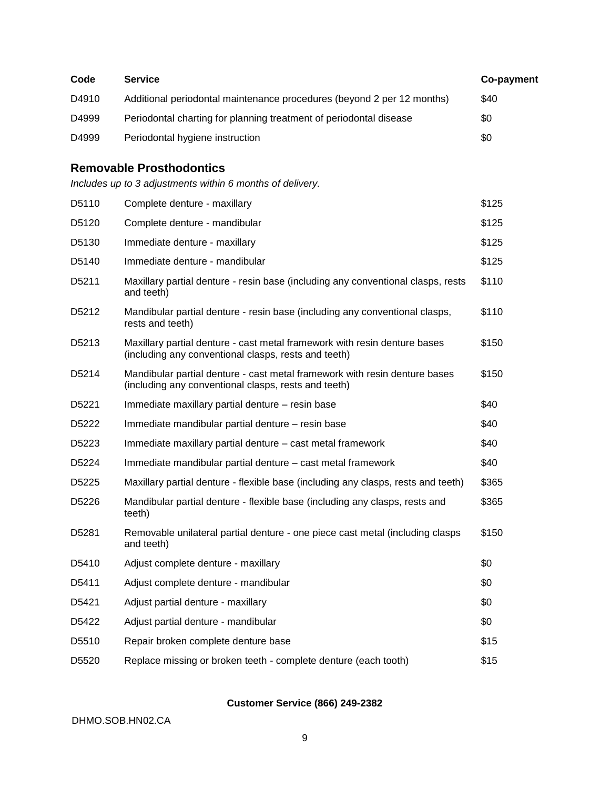| Code              | <b>Service</b>                                                                                                                     | Co-payment |
|-------------------|------------------------------------------------------------------------------------------------------------------------------------|------------|
| D4910             | Additional periodontal maintenance procedures (beyond 2 per 12 months)                                                             | \$40       |
| D4999             | Periodontal charting for planning treatment of periodontal disease                                                                 | \$0        |
| D4999             | Periodontal hygiene instruction                                                                                                    | \$0        |
|                   | <b>Removable Prosthodontics</b>                                                                                                    |            |
|                   | Includes up to 3 adjustments within 6 months of delivery.                                                                          |            |
| D5110             | Complete denture - maxillary                                                                                                       | \$125      |
| D5120             | Complete denture - mandibular                                                                                                      | \$125      |
| D5130             | Immediate denture - maxillary                                                                                                      | \$125      |
| D5140             | Immediate denture - mandibular                                                                                                     | \$125      |
| D5211             | Maxillary partial denture - resin base (including any conventional clasps, rests<br>and teeth)                                     | \$110      |
| D <sub>5212</sub> | Mandibular partial denture - resin base (including any conventional clasps,<br>rests and teeth)                                    | \$110      |
| D <sub>5213</sub> | Maxillary partial denture - cast metal framework with resin denture bases<br>(including any conventional clasps, rests and teeth)  | \$150      |
| D5214             | Mandibular partial denture - cast metal framework with resin denture bases<br>(including any conventional clasps, rests and teeth) | \$150      |
| D <sub>5221</sub> | Immediate maxillary partial denture - resin base                                                                                   | \$40       |
| D <sub>5222</sub> | Immediate mandibular partial denture - resin base                                                                                  | \$40       |
| D <sub>5223</sub> | Immediate maxillary partial denture - cast metal framework                                                                         | \$40       |
| D5224             | Immediate mandibular partial denture – cast metal framework                                                                        | \$40       |
| D <sub>5225</sub> | Maxillary partial denture - flexible base (including any clasps, rests and teeth)                                                  | \$365      |
| D5226             | Mandibular partial denture - flexible base (including any clasps, rests and<br>teeth)                                              | \$365      |
| D5281             | Removable unilateral partial denture - one piece cast metal (including clasps<br>and teeth)                                        | \$150      |
| D5410             | Adjust complete denture - maxillary                                                                                                | \$0        |
| D5411             | Adjust complete denture - mandibular                                                                                               | \$0        |
| D5421             | Adjust partial denture - maxillary                                                                                                 | \$0        |
| D5422             | Adjust partial denture - mandibular                                                                                                | \$0        |
| D5510             | Repair broken complete denture base                                                                                                | \$15       |
| D5520             | Replace missing or broken teeth - complete denture (each tooth)                                                                    | \$15       |
|                   |                                                                                                                                    |            |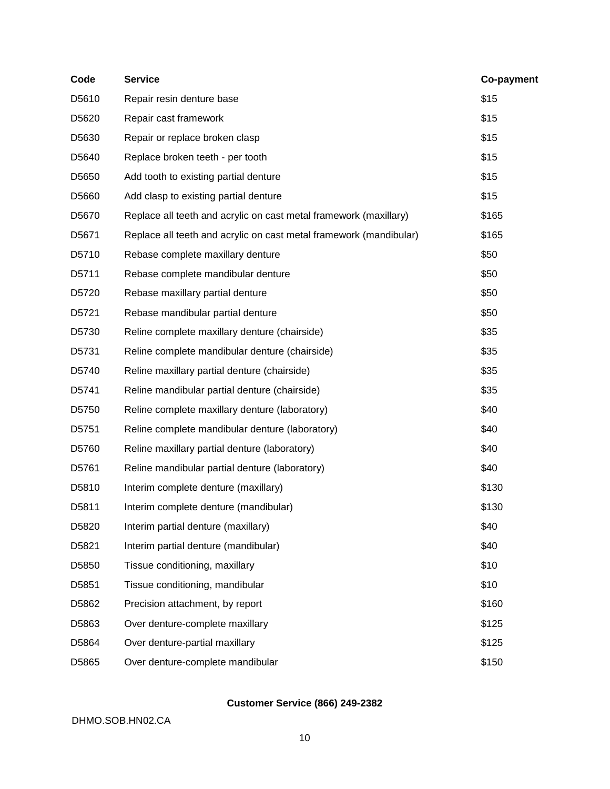| Code  | <b>Service</b>                                                     | Co-payment |
|-------|--------------------------------------------------------------------|------------|
| D5610 | Repair resin denture base                                          | \$15       |
| D5620 | Repair cast framework                                              | \$15       |
| D5630 | Repair or replace broken clasp                                     | \$15       |
| D5640 | Replace broken teeth - per tooth                                   | \$15       |
| D5650 | Add tooth to existing partial denture                              | \$15       |
| D5660 | Add clasp to existing partial denture                              | \$15       |
| D5670 | Replace all teeth and acrylic on cast metal framework (maxillary)  | \$165      |
| D5671 | Replace all teeth and acrylic on cast metal framework (mandibular) | \$165      |
| D5710 | Rebase complete maxillary denture                                  | \$50       |
| D5711 | Rebase complete mandibular denture                                 | \$50       |
| D5720 | Rebase maxillary partial denture                                   | \$50       |
| D5721 | Rebase mandibular partial denture                                  | \$50       |
| D5730 | Reline complete maxillary denture (chairside)                      | \$35       |
| D5731 | Reline complete mandibular denture (chairside)                     | \$35       |
| D5740 | Reline maxillary partial denture (chairside)                       | \$35       |
| D5741 | Reline mandibular partial denture (chairside)                      | \$35       |
| D5750 | Reline complete maxillary denture (laboratory)                     | \$40       |
| D5751 | Reline complete mandibular denture (laboratory)                    | \$40       |
| D5760 | Reline maxillary partial denture (laboratory)                      | \$40       |
| D5761 | Reline mandibular partial denture (laboratory)                     | \$40       |
| D5810 | Interim complete denture (maxillary)                               | \$130      |
| D5811 | Interim complete denture (mandibular)                              | \$130      |
| D5820 | Interim partial denture (maxillary)                                | \$40       |
| D5821 | Interim partial denture (mandibular)                               | \$40       |
| D5850 | Tissue conditioning, maxillary                                     | \$10       |
| D5851 | Tissue conditioning, mandibular                                    | \$10       |
| D5862 | Precision attachment, by report                                    | \$160      |
| D5863 | Over denture-complete maxillary                                    | \$125      |
| D5864 | Over denture-partial maxillary                                     | \$125      |
| D5865 | Over denture-complete mandibular                                   | \$150      |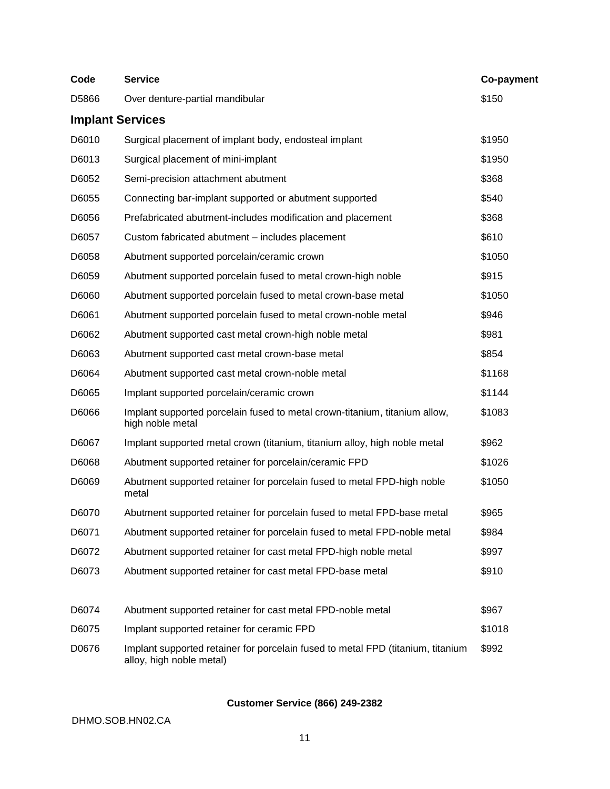| Code                    | <b>Service</b>                                                                                              | Co-payment |
|-------------------------|-------------------------------------------------------------------------------------------------------------|------------|
| D5866                   | Over denture-partial mandibular                                                                             | \$150      |
| <b>Implant Services</b> |                                                                                                             |            |
| D6010                   | Surgical placement of implant body, endosteal implant                                                       | \$1950     |
| D6013                   | Surgical placement of mini-implant                                                                          | \$1950     |
| D6052                   | Semi-precision attachment abutment                                                                          | \$368      |
| D6055                   | Connecting bar-implant supported or abutment supported                                                      | \$540      |
| D6056                   | Prefabricated abutment-includes modification and placement                                                  | \$368      |
| D6057                   | Custom fabricated abutment - includes placement                                                             | \$610      |
| D6058                   | Abutment supported porcelain/ceramic crown                                                                  | \$1050     |
| D6059                   | Abutment supported porcelain fused to metal crown-high noble                                                | \$915      |
| D6060                   | Abutment supported porcelain fused to metal crown-base metal                                                | \$1050     |
| D6061                   | Abutment supported porcelain fused to metal crown-noble metal                                               | \$946      |
| D6062                   | Abutment supported cast metal crown-high noble metal                                                        | \$981      |
| D6063                   | Abutment supported cast metal crown-base metal                                                              | \$854      |
| D6064                   | Abutment supported cast metal crown-noble metal                                                             | \$1168     |
| D6065                   | Implant supported porcelain/ceramic crown                                                                   | \$1144     |
| D6066                   | Implant supported porcelain fused to metal crown-titanium, titanium allow,<br>high noble metal              | \$1083     |
| D6067                   | Implant supported metal crown (titanium, titanium alloy, high noble metal                                   | \$962      |
| D6068                   | Abutment supported retainer for porcelain/ceramic FPD                                                       | \$1026     |
| D6069                   | Abutment supported retainer for porcelain fused to metal FPD-high noble<br>metal                            | \$1050     |
| D6070                   | Abutment supported retainer for porcelain fused to metal FPD-base metal                                     | \$965      |
| D6071                   | Abutment supported retainer for porcelain fused to metal FPD-noble metal                                    | \$984      |
| D6072                   | Abutment supported retainer for cast metal FPD-high noble metal                                             | \$997      |
| D6073                   | Abutment supported retainer for cast metal FPD-base metal                                                   | \$910      |
| D6074                   | Abutment supported retainer for cast metal FPD-noble metal                                                  | \$967      |
| D6075                   | Implant supported retainer for ceramic FPD                                                                  | \$1018     |
| D0676                   | Implant supported retainer for porcelain fused to metal FPD (titanium, titanium<br>alloy, high noble metal) | \$992      |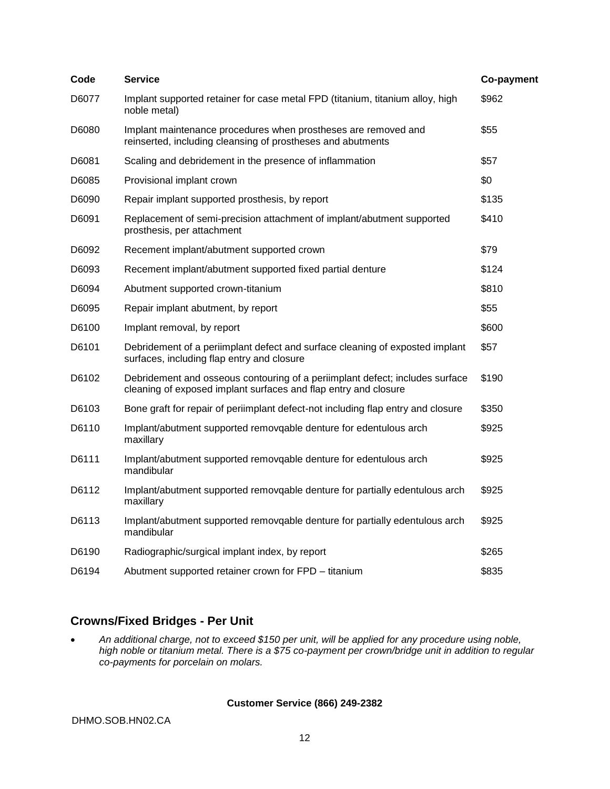| Code  | <b>Service</b>                                                                                                                                  | Co-payment |
|-------|-------------------------------------------------------------------------------------------------------------------------------------------------|------------|
| D6077 | Implant supported retainer for case metal FPD (titanium, titanium alloy, high<br>noble metal)                                                   | \$962      |
| D6080 | Implant maintenance procedures when prostheses are removed and<br>reinserted, including cleansing of prostheses and abutments                   | \$55       |
| D6081 | Scaling and debridement in the presence of inflammation                                                                                         | \$57       |
| D6085 | Provisional implant crown                                                                                                                       | \$0        |
| D6090 | Repair implant supported prosthesis, by report                                                                                                  | \$135      |
| D6091 | Replacement of semi-precision attachment of implant/abutment supported<br>prosthesis, per attachment                                            | \$410      |
| D6092 | Recement implant/abutment supported crown                                                                                                       | \$79       |
| D6093 | Recement implant/abutment supported fixed partial denture                                                                                       | \$124      |
| D6094 | Abutment supported crown-titanium                                                                                                               | \$810      |
| D6095 | Repair implant abutment, by report                                                                                                              | \$55       |
| D6100 | Implant removal, by report                                                                                                                      | \$600      |
| D6101 | Debridement of a periimplant defect and surface cleaning of exposted implant<br>surfaces, including flap entry and closure                      | \$57       |
| D6102 | Debridement and osseous contouring of a periimplant defect; includes surface<br>cleaning of exposed implant surfaces and flap entry and closure | \$190      |
| D6103 | Bone graft for repair of periimplant defect-not including flap entry and closure                                                                | \$350      |
| D6110 | Implant/abutment supported removqable denture for edentulous arch<br>maxillary                                                                  | \$925      |
| D6111 | Implant/abutment supported removqable denture for edentulous arch<br>mandibular                                                                 | \$925      |
| D6112 | Implant/abutment supported removqable denture for partially edentulous arch<br>maxillary                                                        | \$925      |
| D6113 | Implant/abutment supported removqable denture for partially edentulous arch<br>mandibular                                                       | \$925      |
| D6190 | Radiographic/surgical implant index, by report                                                                                                  | \$265      |
| D6194 | Abutment supported retainer crown for FPD – titanium                                                                                            | \$835      |

#### **Crowns/Fixed Bridges - Per Unit**

 *An additional charge, not to exceed \$150 per unit, will be applied for any procedure using noble, high noble or titanium metal. There is a \$75 co-payment per crown/bridge unit in addition to regular co-payments for porcelain on molars.*

#### **Customer Service (866) 249-2382**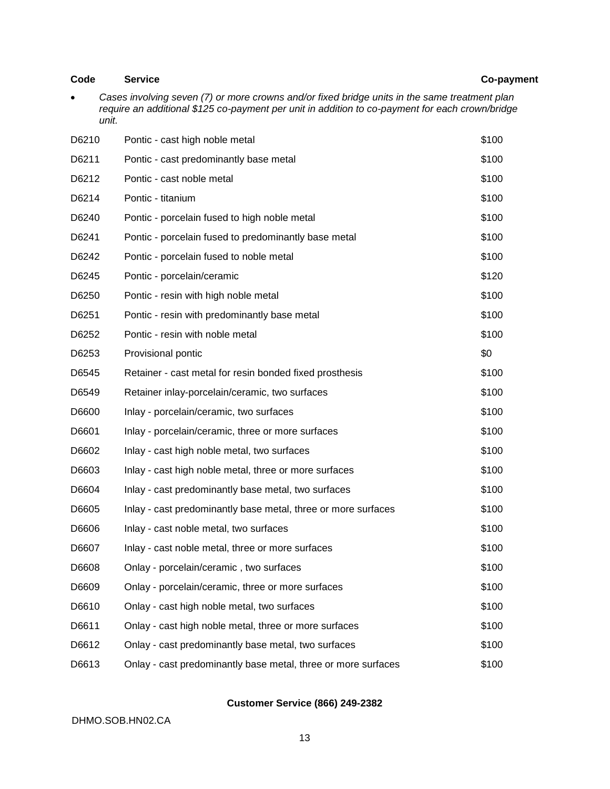#### **Code Service Co-payment**

 *Cases involving seven (7) or more crowns and/or fixed bridge units in the same treatment plan require an additional \$125 co-payment per unit in addition to co-payment for each crown/bridge unit.*

| D6210 | Pontic - cast high noble metal                                | \$100 |
|-------|---------------------------------------------------------------|-------|
| D6211 | Pontic - cast predominantly base metal                        | \$100 |
| D6212 | Pontic - cast noble metal                                     | \$100 |
| D6214 | Pontic - titanium                                             | \$100 |
| D6240 | Pontic - porcelain fused to high noble metal                  | \$100 |
| D6241 | Pontic - porcelain fused to predominantly base metal          | \$100 |
| D6242 | Pontic - porcelain fused to noble metal                       | \$100 |
| D6245 | Pontic - porcelain/ceramic                                    | \$120 |
| D6250 | Pontic - resin with high noble metal                          | \$100 |
| D6251 | Pontic - resin with predominantly base metal                  | \$100 |
| D6252 | Pontic - resin with noble metal                               | \$100 |
| D6253 | Provisional pontic                                            | \$0   |
| D6545 | Retainer - cast metal for resin bonded fixed prosthesis       | \$100 |
| D6549 | Retainer inlay-porcelain/ceramic, two surfaces                | \$100 |
| D6600 | Inlay - porcelain/ceramic, two surfaces                       | \$100 |
| D6601 | Inlay - porcelain/ceramic, three or more surfaces             | \$100 |
| D6602 | Inlay - cast high noble metal, two surfaces                   | \$100 |
| D6603 | Inlay - cast high noble metal, three or more surfaces         | \$100 |
| D6604 | Inlay - cast predominantly base metal, two surfaces           | \$100 |
| D6605 | Inlay - cast predominantly base metal, three or more surfaces | \$100 |
| D6606 | Inlay - cast noble metal, two surfaces                        | \$100 |
| D6607 | Inlay - cast noble metal, three or more surfaces              | \$100 |
| D6608 | Onlay - porcelain/ceramic, two surfaces                       | \$100 |
| D6609 | Onlay - porcelain/ceramic, three or more surfaces             | \$100 |
| D6610 | Onlay - cast high noble metal, two surfaces                   | \$100 |
| D6611 | Onlay - cast high noble metal, three or more surfaces         | \$100 |
| D6612 | Onlay - cast predominantly base metal, two surfaces           | \$100 |
| D6613 | Onlay - cast predominantly base metal, three or more surfaces | \$100 |

#### **Customer Service (866) 249-2382**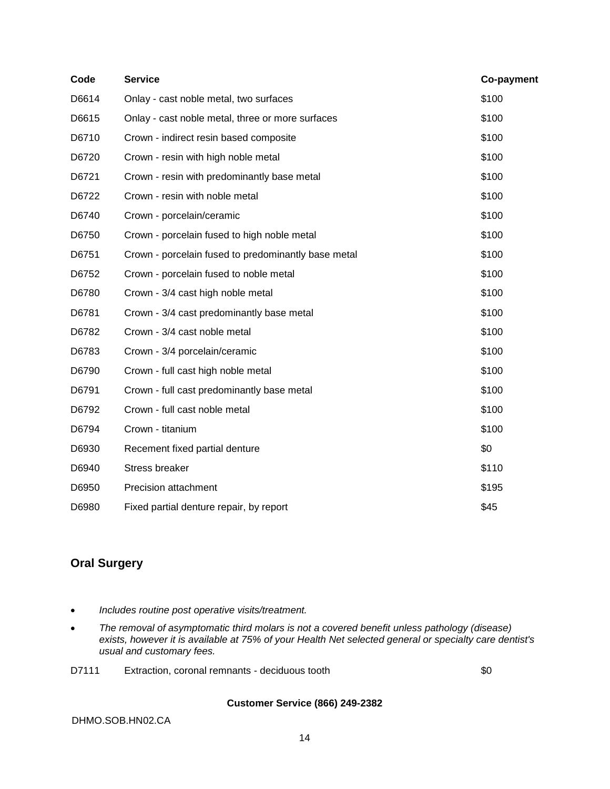| Code  | <b>Service</b>                                      | Co-payment |
|-------|-----------------------------------------------------|------------|
| D6614 | Onlay - cast noble metal, two surfaces              | \$100      |
| D6615 | Onlay - cast noble metal, three or more surfaces    | \$100      |
| D6710 | Crown - indirect resin based composite              | \$100      |
| D6720 | Crown - resin with high noble metal                 | \$100      |
| D6721 | Crown - resin with predominantly base metal         | \$100      |
| D6722 | Crown - resin with noble metal                      | \$100      |
| D6740 | Crown - porcelain/ceramic                           | \$100      |
| D6750 | Crown - porcelain fused to high noble metal         | \$100      |
| D6751 | Crown - porcelain fused to predominantly base metal | \$100      |
| D6752 | Crown - porcelain fused to noble metal              | \$100      |
| D6780 | Crown - 3/4 cast high noble metal                   | \$100      |
| D6781 | Crown - 3/4 cast predominantly base metal           | \$100      |
| D6782 | Crown - 3/4 cast noble metal                        | \$100      |
| D6783 | Crown - 3/4 porcelain/ceramic                       | \$100      |
| D6790 | Crown - full cast high noble metal                  | \$100      |
| D6791 | Crown - full cast predominantly base metal          | \$100      |
| D6792 | Crown - full cast noble metal                       | \$100      |
| D6794 | Crown - titanium                                    | \$100      |
| D6930 | Recement fixed partial denture                      | \$0        |
| D6940 | Stress breaker                                      | \$110      |
| D6950 | Precision attachment                                | \$195      |
| D6980 | Fixed partial denture repair, by report             | \$45       |

#### **Oral Surgery**

- *Includes routine post operative visits/treatment.*
- The removal of asymptomatic third molars is not a covered benefit *unless pathology (disease) exists, however it is available at 75% of your Health Net selected general or specialty care dentist's usual and customary fees.*
- D7111 Extraction, coronal remnants deciduous tooth \$0

#### **Customer Service (866) 249-2382**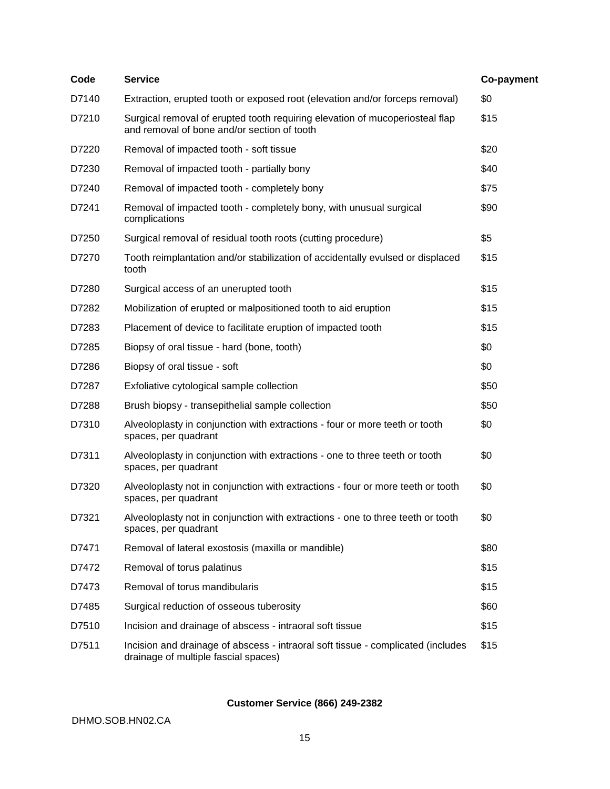| Code  | <b>Service</b>                                                                                                              | Co-payment |
|-------|-----------------------------------------------------------------------------------------------------------------------------|------------|
| D7140 | Extraction, erupted tooth or exposed root (elevation and/or forceps removal)                                                | \$0        |
| D7210 | Surgical removal of erupted tooth requiring elevation of mucoperiosteal flap<br>and removal of bone and/or section of tooth | \$15       |
| D7220 | Removal of impacted tooth - soft tissue                                                                                     | \$20       |
| D7230 | Removal of impacted tooth - partially bony                                                                                  | \$40       |
| D7240 | Removal of impacted tooth - completely bony                                                                                 | \$75       |
| D7241 | Removal of impacted tooth - completely bony, with unusual surgical<br>complications                                         | \$90       |
| D7250 | Surgical removal of residual tooth roots (cutting procedure)                                                                | \$5        |
| D7270 | Tooth reimplantation and/or stabilization of accidentally evulsed or displaced<br>tooth                                     | \$15       |
| D7280 | Surgical access of an unerupted tooth                                                                                       | \$15       |
| D7282 | Mobilization of erupted or malpositioned tooth to aid eruption                                                              | \$15       |
| D7283 | Placement of device to facilitate eruption of impacted tooth                                                                | \$15       |
| D7285 | Biopsy of oral tissue - hard (bone, tooth)                                                                                  | \$0        |
| D7286 | Biopsy of oral tissue - soft                                                                                                | \$0        |
| D7287 | Exfoliative cytological sample collection                                                                                   | \$50       |
| D7288 | Brush biopsy - transepithelial sample collection                                                                            | \$50       |
| D7310 | Alveoloplasty in conjunction with extractions - four or more teeth or tooth<br>spaces, per quadrant                         | \$0        |
| D7311 | Alveoloplasty in conjunction with extractions - one to three teeth or tooth<br>spaces, per quadrant                         | \$0        |
| D7320 | Alveoloplasty not in conjunction with extractions - four or more teeth or tooth<br>spaces, per quadrant                     | \$0        |
| D7321 | Alveoloplasty not in conjunction with extractions - one to three teeth or tooth<br>spaces, per quadrant                     | \$0        |
| D7471 | Removal of lateral exostosis (maxilla or mandible)                                                                          | \$80       |
| D7472 | Removal of torus palatinus                                                                                                  | \$15       |
| D7473 | Removal of torus mandibularis                                                                                               | \$15       |
| D7485 | Surgical reduction of osseous tuberosity                                                                                    | \$60       |
| D7510 | Incision and drainage of abscess - intraoral soft tissue                                                                    | \$15       |
| D7511 | Incision and drainage of abscess - intraoral soft tissue - complicated (includes<br>drainage of multiple fascial spaces)    | \$15       |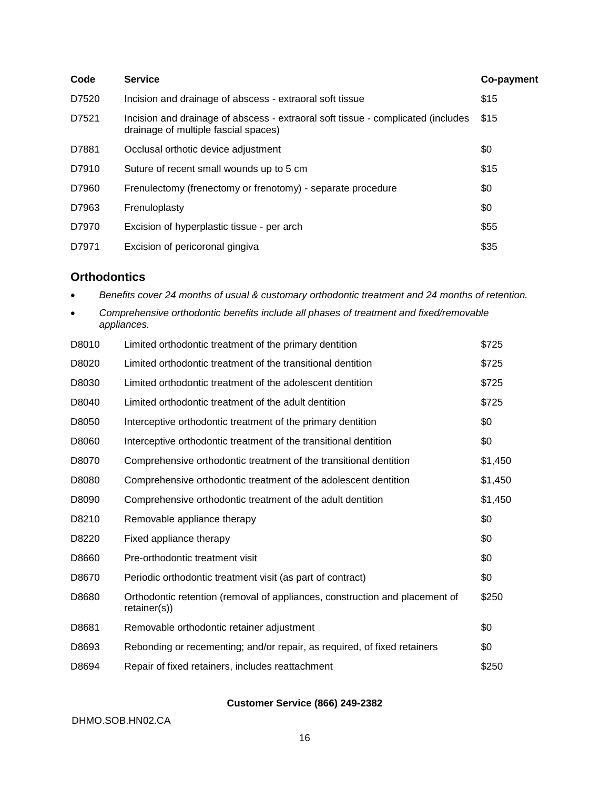| Code  | <b>Service</b>                                                                                                           | Co-payment |
|-------|--------------------------------------------------------------------------------------------------------------------------|------------|
| D7520 | Incision and drainage of abscess - extraoral soft tissue                                                                 | \$15       |
| D7521 | Incision and drainage of abscess - extraoral soft tissue - complicated (includes<br>drainage of multiple fascial spaces) | \$15       |
| D7881 | Occlusal orthotic device adjustment                                                                                      | \$0        |
| D7910 | Suture of recent small wounds up to 5 cm                                                                                 | \$15       |
| D7960 | Frenulectomy (frenectomy or frenotomy) - separate procedure                                                              | \$0        |
| D7963 | Frenuloplasty                                                                                                            | \$0        |
| D7970 | Excision of hyperplastic tissue - per arch                                                                               | \$55       |
| D7971 | Excision of pericoronal gingiva                                                                                          | \$35       |

#### **Orthodontics**

*Benefits cover 24 months of usual & customary orthodontic treatment and 24 months of retention.*

| Comprehensive orthodontic benefits include all phases of treatment and fixed/removable |
|----------------------------------------------------------------------------------------|
| appliances.                                                                            |

| D8010 | Limited orthodontic treatment of the primary dentition                                      | \$725   |
|-------|---------------------------------------------------------------------------------------------|---------|
| D8020 | Limited orthodontic treatment of the transitional dentition                                 | \$725   |
| D8030 | Limited orthodontic treatment of the adolescent dentition                                   | \$725   |
| D8040 | Limited orthodontic treatment of the adult dentition                                        | \$725   |
| D8050 | Interceptive orthodontic treatment of the primary dentition                                 | \$0     |
| D8060 | Interceptive orthodontic treatment of the transitional dentition                            | \$0     |
| D8070 | Comprehensive orthodontic treatment of the transitional dentition                           | \$1,450 |
| D8080 | Comprehensive orthodontic treatment of the adolescent dentition                             | \$1,450 |
| D8090 | Comprehensive orthodontic treatment of the adult dentition                                  | \$1,450 |
| D8210 | Removable appliance therapy                                                                 | \$0     |
| D8220 | Fixed appliance therapy                                                                     | \$0     |
| D8660 | Pre-orthodontic treatment visit                                                             | \$0     |
| D8670 | Periodic orthodontic treatment visit (as part of contract)                                  | \$0     |
| D8680 | Orthodontic retention (removal of appliances, construction and placement of<br>retainer(s)) | \$250   |
| D8681 | Removable orthodontic retainer adjustment                                                   | \$0     |
| D8693 | Rebonding or recementing; and/or repair, as required, of fixed retainers                    | \$0     |
| D8694 | Repair of fixed retainers, includes reattachment                                            | \$250   |

#### **Customer Service (866) 249-2382**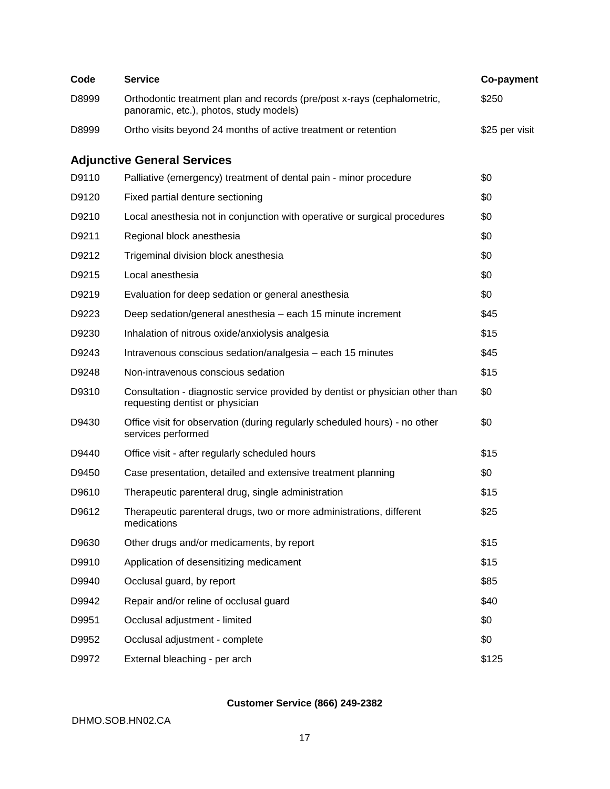| Code  | <b>Service</b>                                                                                                     | Co-payment     |
|-------|--------------------------------------------------------------------------------------------------------------------|----------------|
| D8999 | Orthodontic treatment plan and records (pre/post x-rays (cephalometric,<br>panoramic, etc.), photos, study models) | \$250          |
| D8999 | Ortho visits beyond 24 months of active treatment or retention                                                     | \$25 per visit |
|       | <b>Adjunctive General Services</b>                                                                                 |                |
| D9110 | Palliative (emergency) treatment of dental pain - minor procedure                                                  | \$0            |
| D9120 | Fixed partial denture sectioning                                                                                   | \$0            |
| D9210 | Local anesthesia not in conjunction with operative or surgical procedures                                          | \$0            |
| D9211 | Regional block anesthesia                                                                                          | \$0            |
| D9212 | Trigeminal division block anesthesia                                                                               | \$0            |
| D9215 | Local anesthesia                                                                                                   | \$0            |
| D9219 | Evaluation for deep sedation or general anesthesia                                                                 | \$0            |
| D9223 | Deep sedation/general anesthesia - each 15 minute increment                                                        | \$45           |
| D9230 | Inhalation of nitrous oxide/anxiolysis analgesia                                                                   | \$15           |
| D9243 | Intravenous conscious sedation/analgesia - each 15 minutes                                                         | \$45           |
| D9248 | Non-intravenous conscious sedation                                                                                 | \$15           |
| D9310 | Consultation - diagnostic service provided by dentist or physician other than<br>requesting dentist or physician   | \$0            |
| D9430 | Office visit for observation (during regularly scheduled hours) - no other<br>services performed                   | \$0            |
| D9440 | Office visit - after regularly scheduled hours                                                                     | \$15           |
| D9450 | Case presentation, detailed and extensive treatment planning                                                       | \$0            |
| D9610 | Therapeutic parenteral drug, single administration                                                                 | \$15           |
| D9612 | Therapeutic parenteral drugs, two or more administrations, different<br>medications                                | \$25           |
| D9630 | Other drugs and/or medicaments, by report                                                                          | \$15           |
| D9910 | Application of desensitizing medicament                                                                            | \$15           |
| D9940 | Occlusal guard, by report                                                                                          | \$85           |
| D9942 | Repair and/or reline of occlusal guard                                                                             | \$40           |
| D9951 | Occlusal adjustment - limited                                                                                      | \$0            |
| D9952 | Occlusal adjustment - complete                                                                                     | \$0            |
| D9972 | External bleaching - per arch                                                                                      | \$125          |